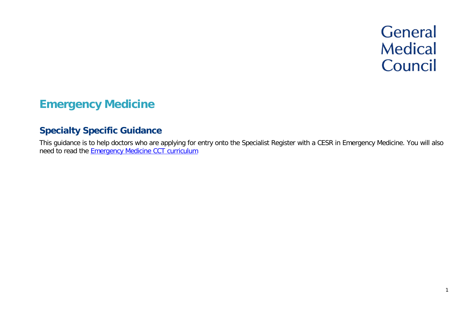# **General Medical** Council

1

# **Emergency Medicine**

# **Specialty Specific Guidance**

This guidance is to help doctors who are applying for entry onto the Specialist Register with a CESR in Emergency Medicine. You will also need to read the Emergency [Medicine CCT curriculum](https://www.gmc-uk.org/education/standards-guidance-and-curricula/curricula/emergency-medicine-curriculum)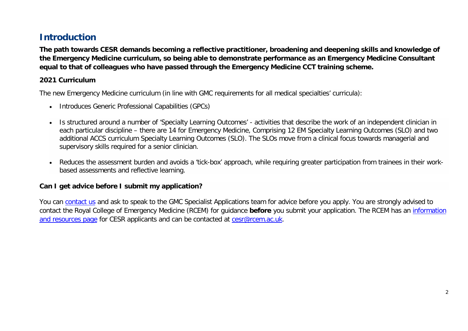# **Introduction**

**The path towards CESR demands becoming a reflective practitioner, broadening and deepening skills and knowledge of the Emergency Medicine curriculum, so being able to demonstrate performance as an Emergency Medicine Consultant equal to that of colleagues who have passed through the Emergency Medicine CCT training scheme.**

### **2021 Curriculum**

The new Emergency Medicine curriculum (in line with GMC requirements for all medical specialties' curricula):

- Introduces Generic Professional Capabilities (GPCs)
- Is structured around a number of 'Specialty Learning Outcomes' activities that describe the work of an independent clinician in each particular discipline – there are 14 for Emergency Medicine, Comprising 12 EM Specialty Learning Outcomes (SLO) and two additional ACCS curriculum Specialty Learning Outcomes (SLO). The SLOs move from a clinical focus towards managerial and supervisory skills required for a senior clinician.
- Reduces the assessment burden and avoids a 'tick-box' approach, while requiring greater participation from trainees in their workbased assessments and reflective learning.

### **Can I get advice before I submit my application?**

You can [contact us](http://www.gmc-uk.org/about/contacts.asp) and ask to speak to the GMC Specialist Applications team for advice before you apply. You are strongly advised to contact the Royal College of Emergency Medicine (RCEM) for guidance **before** you submit your application. The RCEM has an [information](https://www.rcem.ac.uk/RCEM/Exams_Training/CESR_Article_14/RCEM/Exams_Training/CESR__Article_14_/CESR_Article_14.aspx?hkey=d2295381-d328-4fe1-a59e-7e6322c06212)  [and resources page](https://www.rcem.ac.uk/RCEM/Exams_Training/CESR_Article_14/RCEM/Exams_Training/CESR__Article_14_/CESR_Article_14.aspx?hkey=d2295381-d328-4fe1-a59e-7e6322c06212) for CESR applicants and can be contacted at cesr@rcem.ac.uk.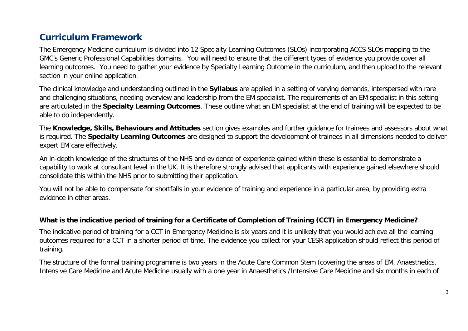# **Curriculum Framework**

The Emergency Medicine curriculum is divided into 12 Specialty Learning Outcomes (SLOs) incorporating ACCS SLOs mapping to the GMC's Generic Professional Capabilities domains. You will need to ensure that the different types of evidence you provide cover all learning outcomes. You need to gather your evidence by Specialty Learning Outcome in the curriculum, and then upload to the relevant section in your online application.

The clinical knowledge and understanding outlined in the **Syllabus** are applied in a setting of varying demands, interspersed with rare and challenging situations, needing overview and leadership from the EM specialist. The requirements of an EM specialist in this setting are articulated in the **Specialty Learning Outcomes**. These outline what an EM specialist at the end of training will be expected to be able to do independently.

The **Knowledge, Skills, Behaviours and Attitudes** section gives examples and further guidance for trainees and assessors about what is required. The **Specialty Learning Outcomes** are designed to support the development of trainees in all dimensions needed to deliver expert EM care effectively.

An in-depth knowledge of the structures of the NHS and evidence of experience gained within these is essential to demonstrate a capability to work at consultant level in the UK. It is therefore strongly advised that applicants with experience gained elsewhere should consolidate this within the NHS prior to submitting their application.

You will not be able to compensate for shortfalls in your evidence of training and experience in a particular area, by providing extra evidence in other areas.

### **What is the indicative period of training for a Certificate of Completion of Training (CCT) in Emergency Medicine?**

The indicative period of training for a CCT in Emergency Medicine is six years and it is unlikely that you would achieve all the learning outcomes required for a CCT in a shorter period of time. The evidence you collect for your CESR application should reflect this period of training.

The structure of the formal training programme is two years in the Acute Care Common Stem (covering the areas of EM, Anaesthetics, Intensive Care Medicine and Acute Medicine usually with a one year in Anaesthetics /Intensive Care Medicine and six months in each of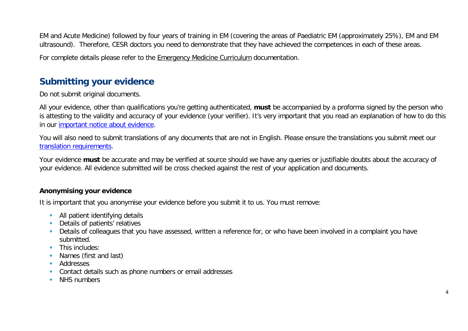EM and Acute Medicine) followed by four years of training in EM (covering the areas of Paediatric EM (approximately 25%), EM and EM ultrasound). Therefore, CESR doctors you need to demonstrate that they have achieved the competences in each of these areas.

For complete details please refer to the [Emergency Medicine Curriculum](https://rcemcurriculum.co.uk/) documentation.

# **Submitting your evidence**

Do not submit original documents.

All your evidence, other than qualifications you're getting authenticated, **must** be accompanied by a proforma signed by the person who is attesting to the validity and accuracy of your evidence (your verifier). It's very important that you read an explanation of how to do this in our [important notice about evidence.](http://www.gmc-uk.org/doctors/evidence_notice.asp)

You will also need to submit translations of any documents that are not in English. Please ensure the translations you submit meet our [translation requirements.](http://www.gmc-uk.org/doctors/translations.asp)

Your evidence **must** be accurate and may be verified at source should we have any queries or justifiable doubts about the accuracy of your evidence. All evidence submitted will be cross checked against the rest of your application and documents.

### **Anonymising your evidence**

It is important that you anonymise your evidence before you submit it to us. You must remove:

- **All patient identifying details**
- **Details of patients' relatives**
- Details of colleagues that you have assessed, written a reference for, or who have been involved in a complaint you have submitted.
- **This includes:**
- **Names (first and last)**
- **Addresses**
- **Contact details such as phone numbers or email addresses**
- **NHS numbers**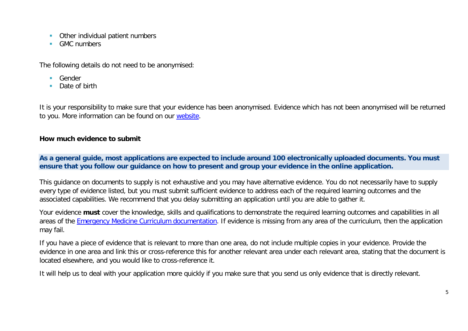- **Other individual patient numbers**
- GMC numbers

The following details do not need to be anonymised:

- **Gender**
- Date of birth

It is your responsibility to make sure that your evidence has been anonymised. Evidence which has not been anonymised will be returned to you. More information can be found on our [website.](https://www.gmc-uk.org/registration-and-licensing/join-the-register/registration-applications/cesr-cegpr-application-process/anonymisation)

### **How much evidence to submit**

**As a general guide, most applications are expected to include around 100 electronically uploaded documents. You must ensure that you follow our guidance on how to present and group your evidence in the online application.**

This guidance on documents to supply is not exhaustive and you may have alternative evidence. You do not necessarily have to supply every type of evidence listed, but you must submit sufficient evidence to address each of the required learning outcomes and the associated capabilities. We recommend that you delay submitting an application until you are able to gather it.

Your evidence **must** cover the knowledge, skills and qualifications to demonstrate the required learning outcomes and capabilities in all areas of the [Emergency Medicine Curriculum documentation.](https://rcemcurriculum.co.uk/) If evidence is missing from any area of the curriculum, then the application may fail.

If you have a piece of evidence that is relevant to more than one area, do not include multiple copies in your evidence. Provide the evidence in one area and link this or cross-reference this for another relevant area under each relevant area, stating that the document is located elsewhere, and you would like to cross-reference it.

It will help us to deal with your application more quickly if you make sure that you send us only evidence that is directly relevant.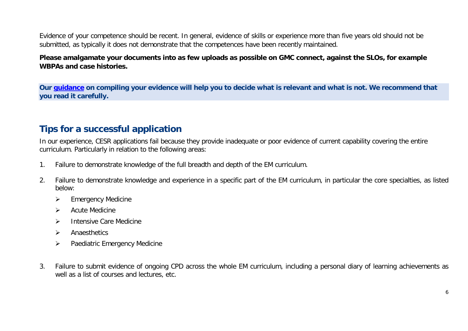Evidence of your competence should be recent. In general, evidence of skills or experience more than five years old should not be submitted, as typically it does not demonstrate that the competences have been recently maintained.

### **Please amalgamate your documents into as few uploads as possible on GMC connect, against the SLOs, for example WBPAs and case histories.**

**Our [guidance](https://www.gmc-uk.org/-/media/documents/sat---cesr-cegpr-online-application---user-guide---dc11550_pdf-76194730.pdf) on compiling your evidence will help you to decide what is relevant and what is not. We recommend that you read it carefully.**

# **Tips for a successful application**

In our experience, CESR applications fail because they provide inadequate or poor evidence of current capability covering the entire curriculum. Particularly in relation to the following areas:

- 1. Failure to demonstrate knowledge of the full breadth and depth of the EM curriculum.
- 2. Failure to demonstrate knowledge and experience in a specific part of the EM curriculum, in particular the core specialties, as listed below:
	- $\triangleright$  Emergency Medicine
	- $\triangleright$  Acute Medicine
	- > Intensive Care Medicine
	- $\triangleright$  Anaesthetics
	- $\triangleright$  Paediatric Emergency Medicine
- 3. Failure to submit evidence of ongoing CPD across the whole EM curriculum, including a personal diary of learning achievements as well as a list of courses and lectures, etc.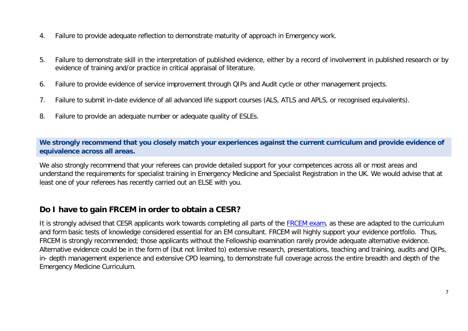- 4. Failure to provide adequate reflection to demonstrate maturity of approach in Emergency work.
- 5. Failure to demonstrate skill in the interpretation of published evidence, either by a record of involvement in published research or by evidence of training and/or practice in critical appraisal of literature.
- 6. Failure to provide evidence of service improvement through QIPs and Audit cycle or other management projects.
- 7. Failure to submit in-date evidence of all advanced life support courses (ALS, ATLS and APLS, or recognised equivalents).
- 8. Failure to provide an adequate number or adequate quality of ESLEs.

**We strongly recommend that you closely match your experiences against the current curriculum and provide evidence of equivalence across all areas.** 

We also strongly recommend that your referees can provide detailed support for your competences across all or most areas and understand the requirements for specialist training in Emergency Medicine and Specialist Registration in the UK. We would advise that at least one of your referees has recently carried out an ELSE with you.

# **Do I have to gain FRCEM in order to obtain a CESR?**

It is strongly advised that CESR applicants work towards completing all parts of the [FRCEM exam,](https://www.rcem.ac.uk/RCEM/Exams_Training/Exams/Dates_Fees/RCEM/Exams_Training/Exams/Dates_and_Fees.aspx) as these are adapted to the curriculum and form basic tests of knowledge considered essential for an EM consultant. FRCEM will highly support your evidence portfolio. Thus, FRCEM is strongly recommended; those applicants without the Fellowship examination rarely provide adequate alternative evidence. Alternative evidence could be in the form of (but not limited to) extensive research, presentations, teaching and training, audits and QIPs, in- depth management experience and extensive CPD learning, to demonstrate full coverage across the entire breadth and depth of the Emergency Medicine Curriculum.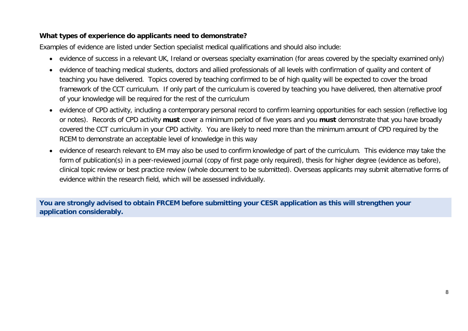### **What types of experience do applicants need to demonstrate?**

Examples of evidence are listed under Section specialist medical qualifications and should also include:

- evidence of success in a relevant UK, Ireland or overseas specialty examination (for areas covered by the specialty examined only)
- evidence of teaching medical students, doctors and allied professionals of all levels with confirmation of quality and content of teaching you have delivered. Topics covered by teaching confirmed to be of high quality will be expected to cover the broad framework of the CCT curriculum. If only part of the curriculum is covered by teaching you have delivered, then alternative proof of your knowledge will be required for the rest of the curriculum
- evidence of CPD activity, including a contemporary personal record to confirm learning opportunities for each session (reflective log or notes). Records of CPD activity **must** cover a minimum period of five years and you **must** demonstrate that you have broadly covered the CCT curriculum in your CPD activity. You are likely to need more than the minimum amount of CPD required by the RCEM to demonstrate an acceptable level of knowledge in this way
- evidence of research relevant to EM may also be used to confirm knowledge of part of the curriculum. This evidence may take the form of publication(s) in a peer-reviewed journal (copy of first page only required), thesis for higher degree (evidence as before), clinical topic review or best practice review (whole document to be submitted). Overseas applicants may submit alternative forms of evidence within the research field, which will be assessed individually.

**You are strongly advised to obtain FRCEM before submitting your CESR application as this will strengthen your application considerably.**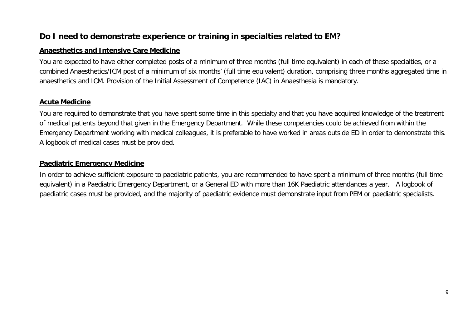# **Do I need to demonstrate experience or training in specialties related to EM?**

#### **Anaesthetics and Intensive Care Medicine**

You are expected to have either completed posts of a minimum of three months (full time equivalent) in each of these specialties, or a combined Anaesthetics/ICM post of a minimum of six months' (full time equivalent) duration, comprising three months aggregated time in anaesthetics and ICM. Provision of the Initial Assessment of Competence (IAC) in Anaesthesia is mandatory.

### **Acute Medicine**

You are required to demonstrate that you have spent some time in this specialty and that you have acquired knowledge of the treatment of medical patients beyond that given in the Emergency Department. While these competencies could be achieved from within the Emergency Department working with medical colleagues, it is preferable to have worked in areas outside ED in order to demonstrate this. A logbook of medical cases must be provided.

### **Paediatric Emergency Medicine**

In order to achieve sufficient exposure to paediatric patients, you are recommended to have spent a minimum of three months (full time equivalent) in a Paediatric Emergency Department, or a General ED with more than 16K Paediatric attendances a year. A logbook of paediatric cases must be provided, and the majority of paediatric evidence must demonstrate input from PEM or paediatric specialists.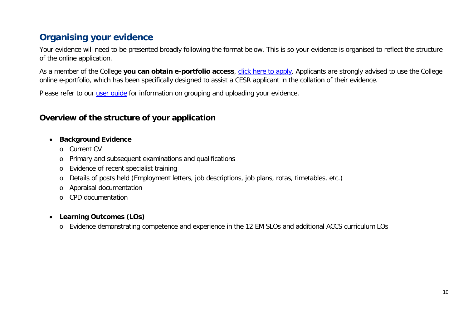# **Organising your evidence**

Your evidence will need to be presented broadly following the format below. This is so your evidence is organised to reflect the structure of the online application.

As a member of the College **you can obtain e-portfolio access**, [click here to apply.](https://www.rcem.ac.uk/RCEM/Membership/Membership_Process/RCEM/Membership/Applying_for_Membership.aspx?hkey=1834fc9a-a960-493d-876c-57146a315b35) Applicants are strongly advised to use the College online e-portfolio, which has been specifically designed to assist a CESR applicant in the collation of their evidence.

Please refer to our *user quide* for information on grouping and uploading your evidence.

# **Overview of the structure of your application**

### • **Background Evidence**

- o Current CV
- o Primary and subsequent examinations and qualifications
- o Evidence of recent specialist training
- o Details of posts held (Employment letters, job descriptions, job plans, rotas, timetables, etc.)
- o Appraisal documentation
- o CPD documentation

### • **Learning Outcomes (LOs)**

o Evidence demonstrating competence and experience in the 12 EM SLOs and additional ACCS curriculum LOs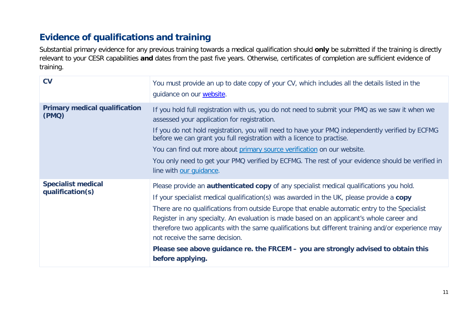# **Evidence of qualifications and training**

Substantial primary evidence for any previous training towards a medical qualification should **only** be submitted if the training is directly relevant to your CESR capabilities **and** dates from the past five years. Otherwise, certificates of completion are sufficient evidence of training.

| <b>CV</b>                                     | You must provide an up to date copy of your CV, which includes all the details listed in the<br>guidance on our website.                                                                                                                                                                                                                                                                                                                                                                                                                                                                                                                  |  |  |  |
|-----------------------------------------------|-------------------------------------------------------------------------------------------------------------------------------------------------------------------------------------------------------------------------------------------------------------------------------------------------------------------------------------------------------------------------------------------------------------------------------------------------------------------------------------------------------------------------------------------------------------------------------------------------------------------------------------------|--|--|--|
| <b>Primary medical qualification</b><br>(PMQ) | If you hold full registration with us, you do not need to submit your PMQ as we saw it when we<br>assessed your application for registration.<br>If you do not hold registration, you will need to have your PMQ independently verified by ECFMG<br>before we can grant you full registration with a licence to practise.<br>You can find out more about primary source verification on our website.<br>You only need to get your PMQ verified by ECFMG. The rest of your evidence should be verified in<br>line with our quidance.                                                                                                       |  |  |  |
| <b>Specialist medical</b><br>qualification(s) | Please provide an <b>authenticated copy</b> of any specialist medical qualifications you hold.<br>If your specialist medical qualification(s) was awarded in the UK, please provide a copy<br>There are no qualifications from outside Europe that enable automatic entry to the Specialist<br>Register in any specialty. An evaluation is made based on an applicant's whole career and<br>therefore two applicants with the same qualifications but different training and/or experience may<br>not receive the same decision.<br>Please see above guidance re. the FRCEM - you are strongly advised to obtain this<br>before applying. |  |  |  |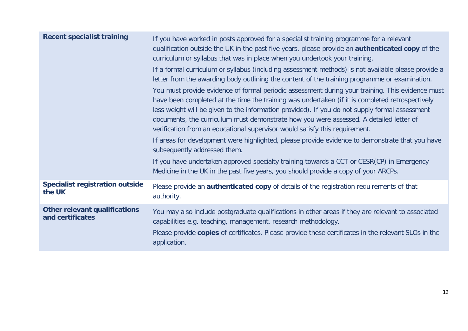| <b>Recent specialist training</b>                        | If you have worked in posts approved for a specialist training programme for a relevant<br>qualification outside the UK in the past five years, please provide an authenticated copy of the<br>curriculum or syllabus that was in place when you undertook your training.<br>If a formal curriculum or syllabus (including assessment methods) is not available please provide a                                                                                                                                                                                                                                                                                                                                                                                                                      |
|----------------------------------------------------------|-------------------------------------------------------------------------------------------------------------------------------------------------------------------------------------------------------------------------------------------------------------------------------------------------------------------------------------------------------------------------------------------------------------------------------------------------------------------------------------------------------------------------------------------------------------------------------------------------------------------------------------------------------------------------------------------------------------------------------------------------------------------------------------------------------|
|                                                          | letter from the awarding body outlining the content of the training programme or examination.                                                                                                                                                                                                                                                                                                                                                                                                                                                                                                                                                                                                                                                                                                         |
|                                                          | You must provide evidence of formal periodic assessment during your training. This evidence must<br>have been completed at the time the training was undertaken (if it is completed retrospectively<br>less weight will be given to the information provided). If you do not supply formal assessment<br>documents, the curriculum must demonstrate how you were assessed. A detailed letter of<br>verification from an educational supervisor would satisfy this requirement.<br>If areas for development were highlighted, please provide evidence to demonstrate that you have<br>subsequently addressed them.<br>If you have undertaken approved specialty training towards a CCT or CESR(CP) in Emergency<br>Medicine in the UK in the past five years, you should provide a copy of your ARCPs. |
|                                                          |                                                                                                                                                                                                                                                                                                                                                                                                                                                                                                                                                                                                                                                                                                                                                                                                       |
| <b>Specialist registration outside</b><br>the UK         | Please provide an <b>authenticated copy</b> of details of the registration requirements of that<br>authority.                                                                                                                                                                                                                                                                                                                                                                                                                                                                                                                                                                                                                                                                                         |
| <b>Other relevant qualifications</b><br>and certificates | You may also include postgraduate qualifications in other areas if they are relevant to associated<br>capabilities e.g. teaching, management, research methodology.                                                                                                                                                                                                                                                                                                                                                                                                                                                                                                                                                                                                                                   |
|                                                          | Please provide copies of certificates. Please provide these certificates in the relevant SLOs in the<br>application.                                                                                                                                                                                                                                                                                                                                                                                                                                                                                                                                                                                                                                                                                  |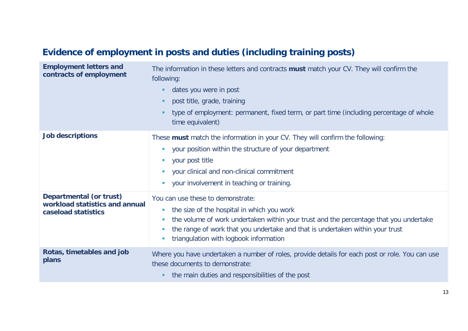# **Evidence of employment in posts and duties (including training posts)**

| <b>Employment letters and</b><br>contracts of employment                                | The information in these letters and contracts must match your CV. They will confirm the<br>following:<br>dates you were in post<br>post title, grade, training<br>٠<br>type of employment: permanent, fixed term, or part time (including percentage of whole<br>time equivalent)                                                                           |
|-----------------------------------------------------------------------------------------|--------------------------------------------------------------------------------------------------------------------------------------------------------------------------------------------------------------------------------------------------------------------------------------------------------------------------------------------------------------|
| <b>Job descriptions</b>                                                                 | These must match the information in your CV. They will confirm the following:<br>your position within the structure of your department<br>$\mathcal{L}_{\mathcal{A}}$<br>your post title<br>$\mathcal{L}_{\mathcal{A}}$<br>your clinical and non-clinical commitment<br><b>STAR</b><br>your involvement in teaching or training.<br>$\mathcal{L}_{\rm{eff}}$ |
| <b>Departmental (or trust)</b><br>workload statistics and annual<br>caseload statistics | You can use these to demonstrate:<br>the size of the hospital in which you work<br><b>I</b><br>the volume of work undertaken within your trust and the percentage that you undertake<br>×<br>the range of work that you undertake and that is undertaken within your trust<br>u.<br>triangulation with logbook information<br>T.                             |
| Rotas, timetables and job<br>plans                                                      | Where you have undertaken a number of roles, provide details for each post or role. You can use<br>these documents to demonstrate:<br>the main duties and responsibilities of the post                                                                                                                                                                       |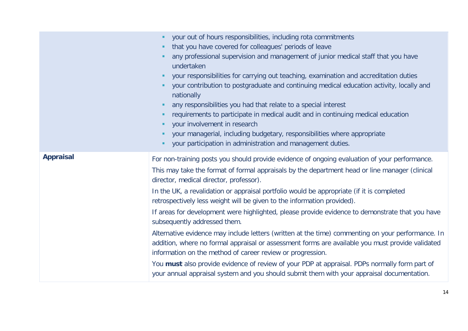|                  | your out of hours responsibilities, including rota commitments<br>that you have covered for colleagues' periods of leave<br>ш<br>any professional supervision and management of junior medical staff that you have<br>undertaken<br>your responsibilities for carrying out teaching, examination and accreditation duties<br>٠<br>your contribution to postgraduate and continuing medical education activity, locally and<br>ш<br>nationally<br>any responsibilities you had that relate to a special interest<br>п<br>requirements to participate in medical audit and in continuing medical education<br>your involvement in research<br>ш<br>your managerial, including budgetary, responsibilities where appropriate<br>ш<br>your participation in administration and management duties.                                                                                                                                                                                                                               |
|------------------|-----------------------------------------------------------------------------------------------------------------------------------------------------------------------------------------------------------------------------------------------------------------------------------------------------------------------------------------------------------------------------------------------------------------------------------------------------------------------------------------------------------------------------------------------------------------------------------------------------------------------------------------------------------------------------------------------------------------------------------------------------------------------------------------------------------------------------------------------------------------------------------------------------------------------------------------------------------------------------------------------------------------------------|
| <b>Appraisal</b> | For non-training posts you should provide evidence of ongoing evaluation of your performance.<br>This may take the format of formal appraisals by the department head or line manager (clinical<br>director, medical director, professor).<br>In the UK, a revalidation or appraisal portfolio would be appropriate (if it is completed<br>retrospectively less weight will be given to the information provided).<br>If areas for development were highlighted, please provide evidence to demonstrate that you have<br>subsequently addressed them.<br>Alternative evidence may include letters (written at the time) commenting on your performance. In<br>addition, where no formal appraisal or assessment forms are available you must provide validated<br>information on the method of career review or progression.<br>You must also provide evidence of review of your PDP at appraisal. PDPs normally form part of<br>your annual appraisal system and you should submit them with your appraisal documentation. |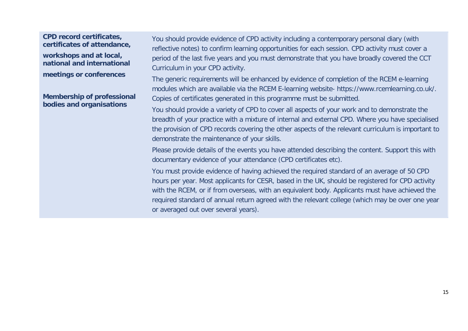**CPD record certificates, certificates of attendance, workshops and at local,** 

**national and international meetings or conferences**

**Membership of professional bodies and organisations**

You should provide evidence of CPD activity including a contemporary personal diary (with reflective notes) to confirm learning opportunities for each session. CPD activity must cover a period of the last five years and you must demonstrate that you have broadly covered the CCT Curriculum in your CPD activity.

The generic requirements will be enhanced by evidence of completion of the RCEM e-learning modules which are available via the RCEM E-learning website- https://www.rcemlearning.co.uk/. Copies of certificates generated in this programme must be submitted.

You should provide a variety of CPD to cover all aspects of your work and to demonstrate the breadth of your practice with a mixture of internal and external CPD. Where you have specialised the provision of CPD records covering the other aspects of the relevant curriculum is important to demonstrate the maintenance of your skills.

Please provide details of the events you have attended describing the content. Support this with documentary evidence of your attendance (CPD certificates etc).

You must provide evidence of having achieved the required standard of an average of 50 CPD hours per year. Most applicants for CESR, based in the UK, should be registered for CPD activity with the RCEM, or if from overseas, with an equivalent body. Applicants must have achieved the required standard of annual return agreed with the relevant college (which may be over one year or averaged out over several years).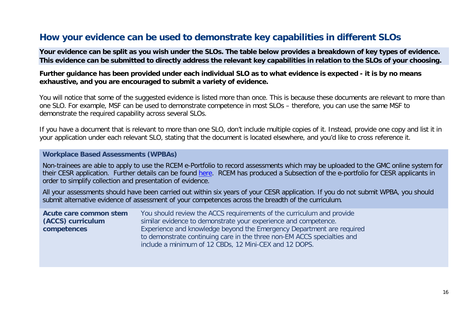# **How your evidence can be used to demonstrate key capabilities in different SLOs**

**Your evidence can be split as you wish under the SLOs. The table below provides a breakdown of key types of evidence. This evidence can be submitted to directly address the relevant key capabilities in relation to the SLOs of your choosing.**

#### **Further guidance has been provided under each individual SLO as to what evidence is expected - it is by no means exhaustive, and you are encouraged to submit a variety of evidence.**

You will notice that some of the suggested evidence is listed more than once. This is because these documents are relevant to more than one SLO. For example, MSF can be used to demonstrate competence in most SLOs – therefore, you can use the same MSF to demonstrate the required capability across several SLOs.

If you have a document that is relevant to more than one SLO, don't include multiple copies of it. Instead, provide one copy and list it in your application under each relevant SLO, stating that the document is located elsewhere, and you'd like to cross reference it.

#### **Workplace Based Assessments (WPBAs)**

Non-trainees are able to apply to use the RCEM e-Portfolio to record assessments which may be uploaded to the GMC online system for their CESR application. Further details can be found [here.](http://www.rcem.ac.uk/RCEM/Exams_Training/UK_Trainees/ePortfolio/RCEM/Exams_Training/UK_Trainees/ePortfolio.aspx?hkey=3b2594d1-23cb-47ad-bc8e-449438ec41ac) RCEM has produced a Subsection of the e-portfolio for CESR applicants in order to simplify collection and presentation of evidence.

All your assessments should have been carried out within six years of your CESR application. If you do not submit WPBA, you should submit alternative evidence of assessment of your competences across the breadth of the curriculum.

| Acute care common stem | You should review the ACCS requirements of the curriculum and provide   |  |  |  |  |
|------------------------|-------------------------------------------------------------------------|--|--|--|--|
| (ACCS) curriculum      | similar evidence to demonstrate your experience and competence.         |  |  |  |  |
| competences            | Experience and knowledge beyond the Emergency Department are required   |  |  |  |  |
|                        | to demonstrate continuing care in the three non-EM ACCS specialties and |  |  |  |  |
|                        | include a minimum of 12 CBDs, 12 Mini-CEX and 12 DOPS.                  |  |  |  |  |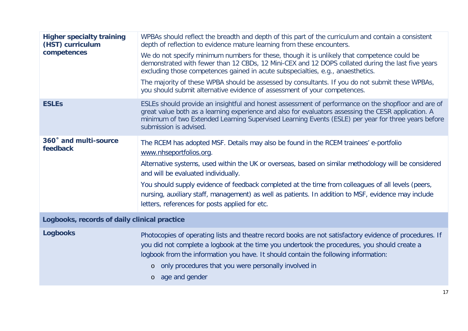| WPBAs should reflect the breadth and depth of this part of the curriculum and contain a consistent<br>depth of reflection to evidence mature learning from these encounters.<br>We do not specify minimum numbers for these, though it is unlikely that competence could be<br>demonstrated with fewer than 12 CBDs, 12 Mini-CEX and 12 DOPS collated during the last five years<br>excluding those competences gained in acute subspecialties, e.g., anaesthetics.<br>The majority of these WPBA should be assessed by consultants. If you do not submit these WPBAs,<br>you should submit alternative evidence of assessment of your competences. |
|-----------------------------------------------------------------------------------------------------------------------------------------------------------------------------------------------------------------------------------------------------------------------------------------------------------------------------------------------------------------------------------------------------------------------------------------------------------------------------------------------------------------------------------------------------------------------------------------------------------------------------------------------------|
| ESLEs should provide an insightful and honest assessment of performance on the shopfloor and are of<br>great value both as a learning experience and also for evaluators assessing the CESR application. A<br>minimum of two Extended Learning Supervised Learning Events (ESLE) per year for three years before<br>submission is advised.                                                                                                                                                                                                                                                                                                          |
| The RCEM has adopted MSF. Details may also be found in the RCEM trainees' e-portfolio<br>www.nhseportfolios.org.<br>Alternative systems, used within the UK or overseas, based on similar methodology will be considered<br>and will be evaluated individually.<br>You should supply evidence of feedback completed at the time from colleagues of all levels (peers,<br>nursing, auxiliary staff, management) as well as patients. In addition to MSF, evidence may include<br>letters, references for posts applied for etc.                                                                                                                      |
| Logbooks, records of daily clinical practice                                                                                                                                                                                                                                                                                                                                                                                                                                                                                                                                                                                                        |
| Photocopies of operating lists and theatre record books are not satisfactory evidence of procedures. If<br>you did not complete a logbook at the time you undertook the procedures, you should create a<br>logbook from the information you have. It should contain the following information:<br>only procedures that you were personally involved in<br>$\circ$<br>age and gender<br>$\circ$                                                                                                                                                                                                                                                      |
|                                                                                                                                                                                                                                                                                                                                                                                                                                                                                                                                                                                                                                                     |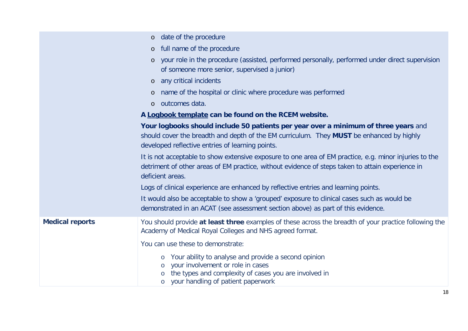|                        | date of the procedure<br>$\circ$                                                                                                                                                                                                                               |
|------------------------|----------------------------------------------------------------------------------------------------------------------------------------------------------------------------------------------------------------------------------------------------------------|
|                        | full name of the procedure<br>$\circ$                                                                                                                                                                                                                          |
|                        | your role in the procedure (assisted, performed personally, performed under direct supervision<br>$\circ$<br>of someone more senior, supervised a junior)                                                                                                      |
|                        | any critical incidents<br>$\circ$                                                                                                                                                                                                                              |
|                        | name of the hospital or clinic where procedure was performed<br>$\circ$                                                                                                                                                                                        |
|                        | outcomes data.<br>$\circ$                                                                                                                                                                                                                                      |
|                        | A Logbook template can be found on the RCEM website.                                                                                                                                                                                                           |
|                        | Your logbooks should include 50 patients per year over a minimum of three years and<br>should cover the breadth and depth of the EM curriculum. They MUST be enhanced by highly<br>developed reflective entries of learning points.                            |
|                        | It is not acceptable to show extensive exposure to one area of EM practice, e.g. minor injuries to the<br>detriment of other areas of EM practice, without evidence of steps taken to attain experience in<br>deficient areas.                                 |
|                        | Logs of clinical experience are enhanced by reflective entries and learning points.                                                                                                                                                                            |
|                        | It would also be acceptable to show a 'grouped' exposure to clinical cases such as would be<br>demonstrated in an ACAT (see assessment section above) as part of this evidence.                                                                                |
| <b>Medical reports</b> | You should provide at least three examples of these across the breadth of your practice following the<br>Academy of Medical Royal Colleges and NHS agreed format.                                                                                              |
|                        | You can use these to demonstrate:<br>Your ability to analyse and provide a second opinion<br>$\circ$<br>your involvement or role in cases<br>$\circ$<br>the types and complexity of cases you are involved in<br>$\circ$<br>your handling of patient paperwork |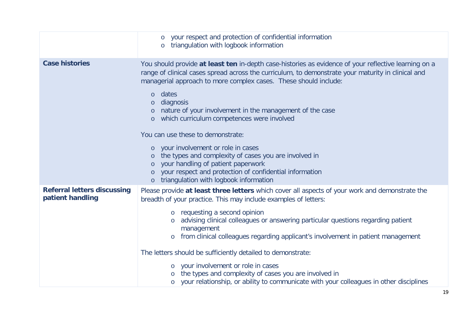|                                                        | your respect and protection of confidential information<br>$\circ$<br>triangulation with logbook information<br>$\circ$                                                                                                                                                                                                                                                                                                                                                                                                                                                                                                                                                                                                                                                                         |
|--------------------------------------------------------|-------------------------------------------------------------------------------------------------------------------------------------------------------------------------------------------------------------------------------------------------------------------------------------------------------------------------------------------------------------------------------------------------------------------------------------------------------------------------------------------------------------------------------------------------------------------------------------------------------------------------------------------------------------------------------------------------------------------------------------------------------------------------------------------------|
| <b>Case histories</b>                                  | You should provide at least ten in-depth case-histories as evidence of your reflective learning on a<br>range of clinical cases spread across the curriculum, to demonstrate your maturity in clinical and<br>managerial approach to more complex cases. These should include:<br>dates<br>$\circ$<br>diagnosis<br>$\circ$<br>nature of your involvement in the management of the case<br>$\circ$<br>which curriculum competences were involved<br>$\circ$<br>You can use these to demonstrate:<br>your involvement or role in cases<br>$\circ$<br>the types and complexity of cases you are involved in<br>$\circ$<br>your handling of patient paperwork<br>$\circ$<br>your respect and protection of confidential information<br>$\circ$<br>triangulation with logbook information<br>$\circ$ |
| <b>Referral letters discussing</b><br>patient handling | Please provide at least three letters which cover all aspects of your work and demonstrate the<br>breadth of your practice. This may include examples of letters:<br>requesting a second opinion<br>$\circ$<br>advising clinical colleagues or answering particular questions regarding patient<br>$\circ$<br>management<br>from clinical colleagues regarding applicant's involvement in patient management<br>The letters should be sufficiently detailed to demonstrate:<br>your involvement or role in cases<br>$\circ$<br>the types and complexity of cases you are involved in<br>your relationship, or ability to communicate with your colleagues in other disciplines                                                                                                                  |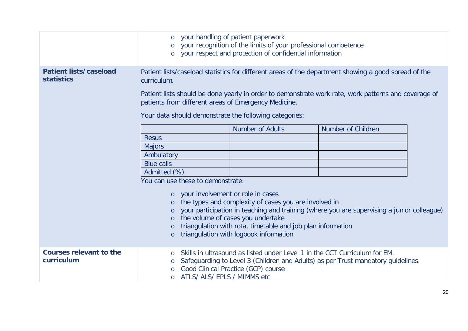|                                                    | your handling of patient paperwork<br>$\circ$<br>your recognition of the limits of your professional competence<br>$\circ$<br>your respect and protection of confidential information                                                                                                                                                                                                                                                                                                                                                                                   |                                                                                                                   |                                                                                  |  |
|----------------------------------------------------|-------------------------------------------------------------------------------------------------------------------------------------------------------------------------------------------------------------------------------------------------------------------------------------------------------------------------------------------------------------------------------------------------------------------------------------------------------------------------------------------------------------------------------------------------------------------------|-------------------------------------------------------------------------------------------------------------------|----------------------------------------------------------------------------------|--|
| <b>Patient lists/caseload</b><br><b>statistics</b> | Patient lists/caseload statistics for different areas of the department showing a good spread of the<br>curriculum.<br>Patient lists should be done yearly in order to demonstrate work rate, work patterns and coverage of<br>patients from different areas of Emergency Medicine.<br>Your data should demonstrate the following categories:                                                                                                                                                                                                                           |                                                                                                                   |                                                                                  |  |
|                                                    | <b>Number of Adults</b><br>Number of Children<br><b>Resus</b><br><b>Majors</b><br>Ambulatory<br><b>Blue calls</b><br>Admitted (%)<br>You can use these to demonstrate:<br>your involvement or role in cases<br>$\circ$<br>the types and complexity of cases you are involved in<br>$\circ$<br>your participation in teaching and training (where you are supervising a junior colleague)<br>the volume of cases you undertake<br>$\circ$<br>triangulation with rota, timetable and job plan information<br>$\circ$<br>triangulation with logbook information<br>$\circ$ |                                                                                                                   |                                                                                  |  |
| <b>Courses relevant to the</b><br>curriculum       | $\circ$<br>ATLS/ ALS/ EPLS / MIMMS etc                                                                                                                                                                                                                                                                                                                                                                                                                                                                                                                                  | Skills in ultrasound as listed under Level 1 in the CCT Curriculum for EM.<br>Good Clinical Practice (GCP) course | Safeguarding to Level 3 (Children and Adults) as per Trust mandatory guidelines. |  |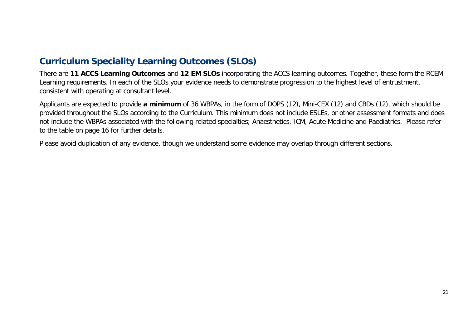# **Curriculum Speciality Learning Outcomes (SLOs)**

There are **11 ACCS Learning Outcomes** and **12 EM SLOs** incorporating the ACCS learning outcomes. Together, these form the RCEM Learning requirements. In each of the SLOs your evidence needs to demonstrate progression to the highest level of entrustment, consistent with operating at consultant level.

Applicants are expected to provide **a minimum** of 36 WBPAs, in the form of DOPS (12), Mini-CEX (12) and CBDs (12), which should be provided throughout the SLOs according to the Curriculum. This minimum does not include ESLEs, or other assessment formats and does not include the WBPAs associated with the following related specialties; Anaesthetics, ICM, Acute Medicine and Paediatrics. Please refer to the table on page 16 for further details.

Please avoid duplication of any evidence, though we understand some evidence may overlap through different sections.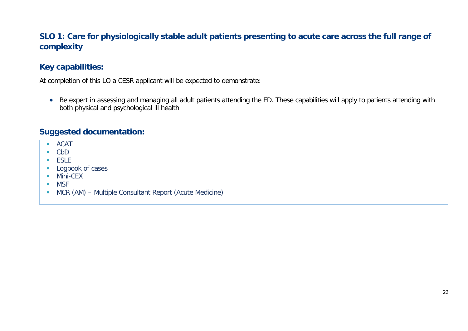# **SLO 1: Care for physiologically stable adult patients presenting to acute care across the full range of complexity**

# **Key capabilities:**

At completion of this LO a CESR applicant will be expected to demonstrate:

• Be expert in assessing and managing all adult patients attending the ED. These capabilities will apply to patients attending with both physical and psychological ill health

- **ACAT**
- CbD
- $F$
- **Logbook of cases**
- **Mini-CEX**
- **MSF**
- MCR (AM) Multiple Consultant Report (Acute Medicine)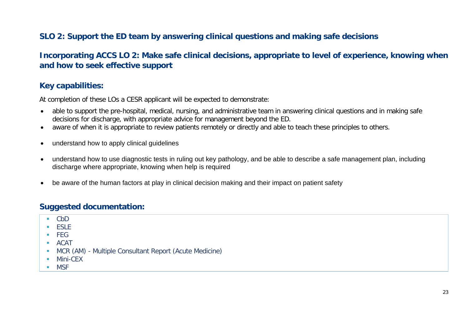# **SLO 2: Support the ED team by answering clinical questions and making safe decisions**

# **Incorporating ACCS LO 2: Make safe clinical decisions, appropriate to level of experience, knowing when and how to seek effective support**

### **Key capabilities:**

At completion of these LOs a CESR applicant will be expected to demonstrate:

- able to support the pre-hospital, medical, nursing, and administrative team in answering clinical questions and in making safe decisions for discharge, with appropriate advice for management beyond the ED.
- aware of when it is appropriate to review patients remotely or directly and able to teach these principles to others.
- understand how to apply clinical guidelines
- understand how to use diagnostic tests in ruling out key pathology, and be able to describe a safe management plan, including discharge where appropriate, knowing when help is required
- be aware of the human factors at play in clinical decision making and their impact on patient safety

- $\blacksquare$  CbD
- $E$ FSLE
- FEG
- $ACAT$
- MCR (AM) Multiple Consultant Report (Acute Medicine)
- **Mini-CEX**
- MSF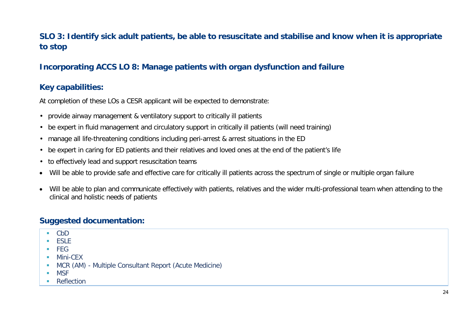# **SLO 3: Identify sick adult patients, be able to resuscitate and stabilise and know when it is appropriate to stop**

# **Incorporating ACCS LO 8: Manage patients with organ dysfunction and failure**

# **Key capabilities:**

At completion of these LOs a CESR applicant will be expected to demonstrate:

- provide airway management & ventilatory support to critically ill patients
- be expert in fluid management and circulatory support in critically ill patients (will need training)
- manage all life-threatening conditions including peri-arrest & arrest situations in the ED
- be expert in caring for ED patients and their relatives and loved ones at the end of the patient's life
- to effectively lead and support resuscitation teams
- Will be able to provide safe and effective care for critically ill patients across the spectrum of single or multiple organ failure
- Will be able to plan and communicate effectively with patients, relatives and the wider multi-professional team when attending to the clinical and holistic needs of patients

- CbD
- $F$  FSLE
- $FFG$
- Mini-CEX
- MCR (AM) Multiple Consultant Report (Acute Medicine)
- MSF
- **Reflection**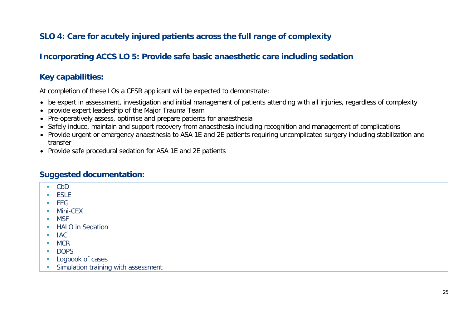# **SLO 4: Care for acutely injured patients across the full range of complexity**

# **Incorporating ACCS LO 5: Provide safe basic anaesthetic care including sedation**

# **Key capabilities:**

At completion of these LOs a CESR applicant will be expected to demonstrate:

- be expert in assessment, investigation and initial management of patients attending with all injuries, regardless of complexity
- provide expert leadership of the Major Trauma Team
- Pre-operatively assess, optimise and prepare patients for anaesthesia
- Safely induce, maintain and support recovery from anaesthesia including recognition and management of complications
- Provide urgent or emergency anaesthesia to ASA 1E and 2E patients requiring uncomplicated surgery including stabilization and transfer
- Provide safe procedural sedation for ASA 1E and 2E patients

- CbD
- **ESLE**
- $FFG$
- **Mini-CEX**
- **MSF**
- **HALO** in Sedation
- $IAC$
- $MCR$
- **DOPS**
- **Logbook of cases**
- **Simulation training with assessment**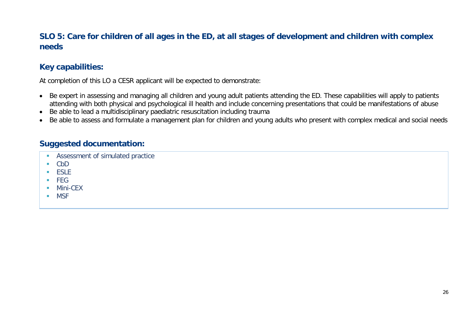# **SLO 5: Care for children of all ages in the ED, at all stages of development and children with complex needs**

# **Key capabilities:**

At completion of this LO a CESR applicant will be expected to demonstrate:

- Be expert in assessing and managing all children and young adult patients attending the ED. These capabilities will apply to patients attending with both physical and psychological ill health and include concerning presentations that could be manifestations of abuse
- Be able to lead a multidisciplinary paediatric resuscitation including trauma
- Be able to assess and formulate a management plan for children and young adults who present with complex medical and social needs

- **Assessment of simulated practice**
- $\overline{CD}$
- $E$  ESLE
- $FEG$
- **Mini-CFX**
- **NSF**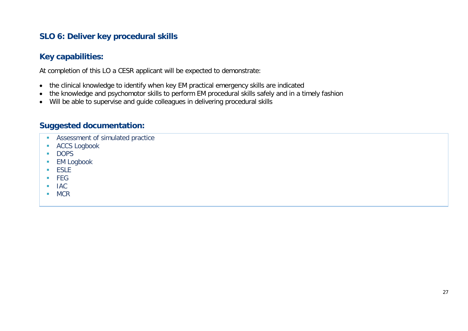# **SLO 6: Deliver key procedural skills**

# **Key capabilities:**

At completion of this LO a CESR applicant will be expected to demonstrate:

- the clinical knowledge to identify when key EM practical emergency skills are indicated
- the knowledge and psychomotor skills to perform EM procedural skills safely and in a timely fashion
- Will be able to supervise and guide colleagues in delivering procedural skills

- **Assessment of simulated practice**
- **ACCS Logbook**
- **DOPS**
- **EM Logbook**
- **ESLE**
- $FEG$
- $IAC$
- MCR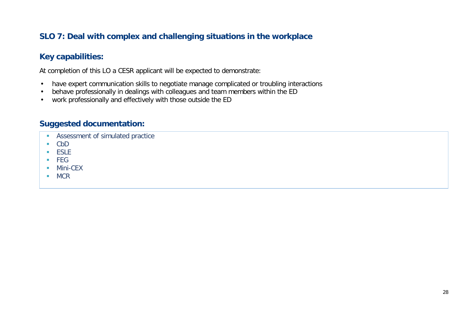# **SLO 7: Deal with complex and challenging situations in the workplace**

## **Key capabilities:**

At completion of this LO a CESR applicant will be expected to demonstrate:

- have expert communication skills to negotiate manage complicated or troubling interactions
- behave professionally in dealings with colleagues and team members within the ED
- work professionally and effectively with those outside the ED

- **Assessment of simulated practice**
- $\overline{CD}$
- **ESLE**
- $FEG$
- **Mini-CEX**
- MCR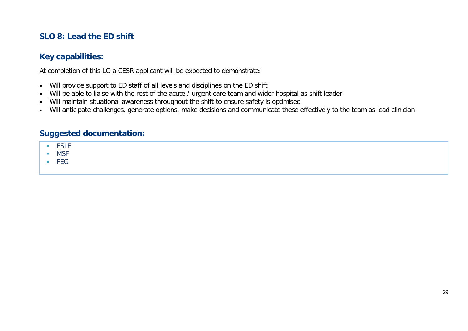# **SLO 8: Lead the ED shift**

### **Key capabilities:**

At completion of this LO a CESR applicant will be expected to demonstrate:

- Will provide support to ED staff of all levels and disciplines on the ED shift
- Will be able to liaise with the rest of the acute / urgent care team and wider hospital as shift leader
- Will maintain situational awareness throughout the shift to ensure safety is optimised
- Will anticipate challenges, generate options, make decisions and communicate these effectively to the team as lead clinician

- $E$  ESLE
- MSF
- FEG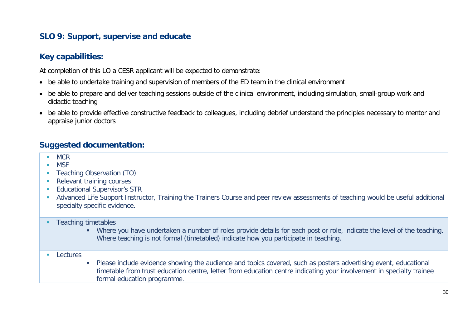# **SLO 9: Support, supervise and educate**

# **Key capabilities:**

At completion of this LO a CESR applicant will be expected to demonstrate:

- be able to undertake training and supervision of members of the ED team in the clinical environment
- be able to prepare and deliver teaching sessions outside of the clinical environment, including simulation, small-group work and didactic teaching
- be able to provide effective constructive feedback to colleagues, including debrief understand the principles necessary to mentor and appraise junior doctors

- **NCR**
- **MSF**
- Teaching Observation (TO)
- Relevant training courses
- **Educational Supervisor's STR**
- Advanced Life Support Instructor, Training the Trainers Course and peer review assessments of teaching would be useful additional specialty specific evidence.
- **Teaching timetables** 
	- Where you have undertaken a number of roles provide details for each post or role, indicate the level of the teaching. Where teaching is not formal (timetabled) indicate how you participate in teaching.
- **Lectures**
- Please include evidence showing the audience and topics covered, such as posters advertising event, educational timetable from trust education centre, letter from education centre indicating your involvement in specialty trainee formal education programme.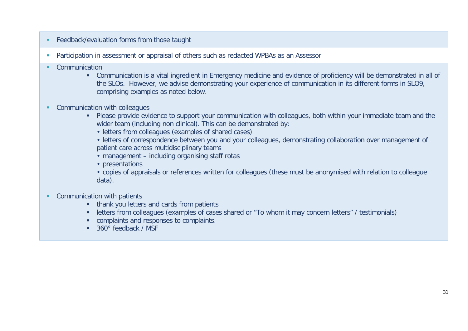- **Feedback/evaluation forms from those taught**
- **Participation in assessment or appraisal of others such as redacted WPBAs as an Assessor**
- **•** Communication
	- Communication is a vital ingredient in Emergency medicine and evidence of proficiency will be demonstrated in all of the SLOs. However, we advise demonstrating your experience of communication in its different forms in SLO9, comprising examples as noted below.
- **Communication with colleagues** 
	- Please provide evidence to support your communication with colleagues, both within your immediate team and the wider team (including non clinical). This can be demonstrated by:
		- letters from colleagues (examples of shared cases)
		- letters of correspondence between you and your colleagues, demonstrating collaboration over management of patient care across multidisciplinary teams
		- management including organising staff rotas
		- presentations
		- copies of appraisals or references written for colleagues (these must be anonymised with relation to colleague data).
- **Communication with patients** 
	- **thank you letters and cards from patients**
	- letters from colleagues (examples of cases shared or "To whom it may concern letters" / testimonials)
	- complaints and responses to complaints.
	- 360° feedback / MSF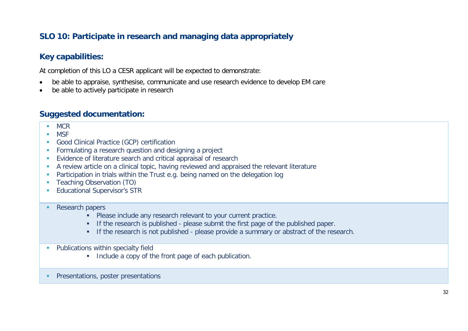# **SLO 10: Participate in research and managing data appropriately**

### **Key capabilities:**

At completion of this LO a CESR applicant will be expected to demonstrate:

- be able to appraise, synthesise, communicate and use research evidence to develop EM care
- be able to actively participate in research

- **MCR**
- **MSF**
- **Good Clinical Practice (GCP) certification**
- **Formulating a research question and designing a project**
- **Evidence of literature search and critical appraisal of research**
- A review article on a clinical topic, having reviewed and appraised the relevant literature
- **Participation in trials within the Trust e.g. being named on the delegation log**
- **Teaching Observation (TO)**
- **Educational Supervisor's STR**
- Research papers
	- **Please include any research relevant to your current practice.**
	- If the research is published please submit the first page of the published paper.
	- If the research is not published please provide a summary or abstract of the research.
- **Publications within specialty field** 
	- Include a copy of the front page of each publication.
- **Presentations, poster presentations**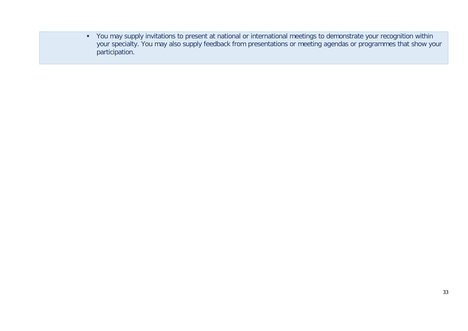You may supply invitations to present at national or international meetings to demonstrate your recognition within your specialty. You may also supply feedback from presentations or meeting agendas or programmes that show your participation.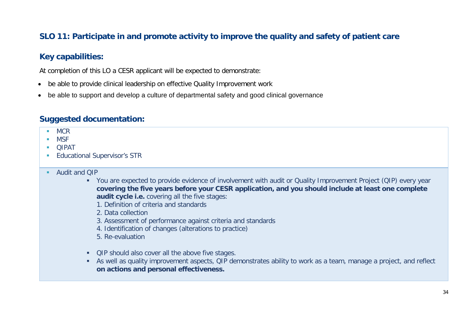# **SLO 11: Participate in and promote activity to improve the quality and safety of patient care**

### **Key capabilities:**

At completion of this LO a CESR applicant will be expected to demonstrate:

- be able to provide clinical leadership on effective Quality Improvement work
- be able to support and develop a culture of departmental safety and good clinical governance

### **Suggested documentation:**

- $MCR$
- MSF
- **DIPAT**
- **Educational Supervisor's STR**

#### Audit and QIP

- You are expected to provide evidence of involvement with audit or Quality Improvement Project (QIP) every year **covering the five years before your CESR application, and you should include at least one complete audit cycle i.e.** covering all the five stages:
	- 1. Definition of criteria and standards
	- 2. Data collection
	- 3. Assessment of performance against criteria and standards
	- 4. Identification of changes (alterations to practice)
	- 5. Re-evaluation
- QIP should also cover all the above five stages.
- As well as quality improvement aspects, QIP demonstrates ability to work as a team, manage a project, and reflect **on actions and personal effectiveness.**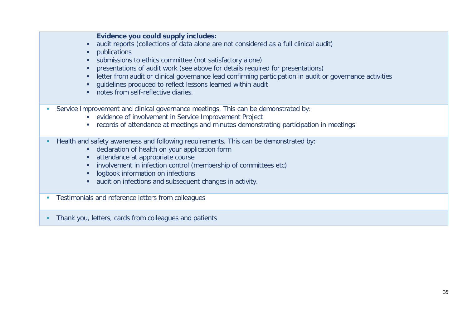#### **Evidence you could supply includes:**

- audit reports (collections of data alone are not considered as a full clinical audit)
- **•** publications
- submissions to ethics committee (not satisfactory alone)
- **•** presentations of audit work (see above for details required for presentations)
- **EXTERN** letter from audit or clinical governance lead confirming participation in audit or governance activities
- guidelines produced to reflect lessons learned within audit
- notes from self-reflective diaries
- Service Improvement and clinical governance meetings. This can be demonstrated by:
	- evidence of involvement in Service Improvement Project
	- records of attendance at meetings and minutes demonstrating participation in meetings
- Health and safety awareness and following requirements. This can be demonstrated by:
	- declaration of health on your application form
	- **attendance at appropriate course**
	- **i** involvement in infection control (membership of committees etc)
	- **-** logbook information on infections
	- audit on infections and subsequent changes in activity.
- **Testimonials and reference letters from colleagues**
- **Thank you, letters, cards from colleagues and patients**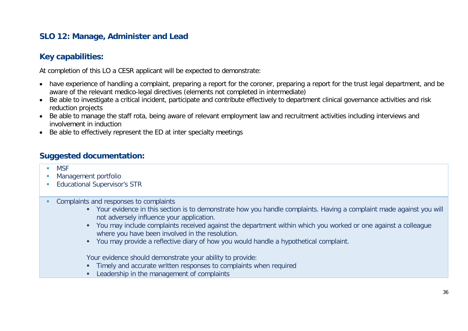# **SLO 12: Manage, Administer and Lead**

## **Key capabilities:**

At completion of this LO a CESR applicant will be expected to demonstrate:

- have experience of handling a complaint, preparing a report for the coroner, preparing a report for the trust legal department, and be aware of the relevant medico-legal directives (elements not completed in intermediate)
- Be able to investigate a critical incident, participate and contribute effectively to department clinical governance activities and risk reduction projects
- Be able to manage the staff rota, being aware of relevant employment law and recruitment activities including interviews and involvement in induction
- Be able to effectively represent the ED at inter specialty meetings

### **Suggested documentation:**

- MSF
- **Management portfolio**
- **Educational Supervisor's STR**
- **Complaints and responses to complaints** 
	- Your evidence in this section is to demonstrate how you handle complaints. Having a complaint made against you will not adversely influence your application.
	- You may include complaints received against the department within which you worked or one against a colleague where you have been involved in the resolution.
	- You may provide a reflective diary of how you would handle a hypothetical complaint.

Your evidence should demonstrate your ability to provide:

- **Timely and accurate written responses to complaints when required**
- **Leadership in the management of complaints**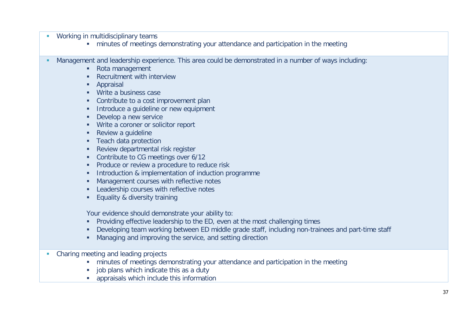- **Working in multidisciplinary teams** 
	- minutes of meetings demonstrating your attendance and participation in the meeting
- Management and leadership experience. This area could be demonstrated in a number of ways including:
	- Rota management
	- **Recruitment with interview**
	- **Appraisal**
	- **Write a business case**
	- Contribute to a cost improvement plan
	- **Introduce a quideline or new equipment**
	- Develop a new service
	- **Write a coroner or solicitor report**
	- **Review a quideline**
	- **Teach data protection**
	- **Review departmental risk register**
	- Contribute to CG meetings over 6/12
	- **Produce or review a procedure to reduce risk**
	- **Introduction & implementation of induction programme**
	- **Management courses with reflective notes**
	- **EXECUTE:** Leadership courses with reflective notes
	- **Equality & diversity training**

Your evidence should demonstrate your ability to:

- **Providing effective leadership to the ED, even at the most challenging times**
- Developing team working between ED middle grade staff, including non-trainees and part-time staff
- Managing and improving the service, and setting direction
- Charing meeting and leading projects
	- minutes of meetings demonstrating your attendance and participation in the meeting
	- job plans which indicate this as a duty
	- appraisals which include this information